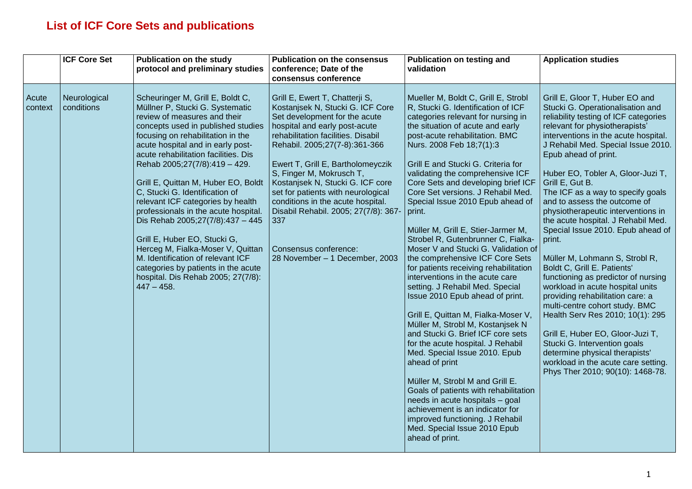## **List of ICF Core Sets and publications**

|                  | <b>ICF Core Set</b>        | <b>Publication on the study</b><br>protocol and preliminary studies                                                                                                                                                                                                                                                                                                                                                                                                                                                                                                                                                                                                                           | <b>Publication on the consensus</b><br>conference; Date of the<br>consensus conference                                                                                                                                                                                                                                                                                                                                                                                                                | <b>Publication on testing and</b><br>validation                                                                                                                                                                                                                                                                                                                                                                                                                                                                                                                                                                                                                                                                                                                                                                                                                                                                                                                                                                                                                                                                                                                              | <b>Application studies</b>                                                                                                                                                                                                                                                                                                                                                                                                                                                                                                                                                                                                                                                                                                                                                                                                                                                                                                                         |
|------------------|----------------------------|-----------------------------------------------------------------------------------------------------------------------------------------------------------------------------------------------------------------------------------------------------------------------------------------------------------------------------------------------------------------------------------------------------------------------------------------------------------------------------------------------------------------------------------------------------------------------------------------------------------------------------------------------------------------------------------------------|-------------------------------------------------------------------------------------------------------------------------------------------------------------------------------------------------------------------------------------------------------------------------------------------------------------------------------------------------------------------------------------------------------------------------------------------------------------------------------------------------------|------------------------------------------------------------------------------------------------------------------------------------------------------------------------------------------------------------------------------------------------------------------------------------------------------------------------------------------------------------------------------------------------------------------------------------------------------------------------------------------------------------------------------------------------------------------------------------------------------------------------------------------------------------------------------------------------------------------------------------------------------------------------------------------------------------------------------------------------------------------------------------------------------------------------------------------------------------------------------------------------------------------------------------------------------------------------------------------------------------------------------------------------------------------------------|----------------------------------------------------------------------------------------------------------------------------------------------------------------------------------------------------------------------------------------------------------------------------------------------------------------------------------------------------------------------------------------------------------------------------------------------------------------------------------------------------------------------------------------------------------------------------------------------------------------------------------------------------------------------------------------------------------------------------------------------------------------------------------------------------------------------------------------------------------------------------------------------------------------------------------------------------|
| Acute<br>context | Neurological<br>conditions | Scheuringer M, Grill E, Boldt C,<br>Müllner P, Stucki G. Systematic<br>review of measures and their<br>concepts used in published studies<br>focusing on rehabilitation in the<br>acute hospital and in early post-<br>acute rehabilitation facilities. Dis<br>Rehab 2005;27(7/8):419 - 429.<br>Grill E, Quittan M, Huber EO, Boldt<br>C, Stucki G. Identification of<br>relevant ICF categories by health<br>professionals in the acute hospital.<br>Dis Rehab 2005;27(7/8):437 - 445<br>Grill E, Huber EO, Stucki G,<br>Herceg M, Fialka-Moser V, Quittan<br>M. Identification of relevant ICF<br>categories by patients in the acute<br>hospital. Dis Rehab 2005; 27(7/8):<br>$447 - 458.$ | Grill E, Ewert T, Chatterji S,<br>Kostanjsek N, Stucki G. ICF Core<br>Set development for the acute<br>hospital and early post-acute<br>rehabilitation facilities. Disabil<br>Rehabil. 2005;27(7-8):361-366<br>Ewert T, Grill E, Bartholomeyczik<br>S, Finger M, Mokrusch T,<br>Kostanjsek N, Stucki G. ICF core<br>set for patients with neurological<br>conditions in the acute hospital.<br>Disabil Rehabil. 2005; 27(7/8): 367-<br>337<br>Consensus conference:<br>28 November - 1 December, 2003 | Mueller M, Boldt C, Grill E, Strobl<br>R, Stucki G. Identification of ICF<br>categories relevant for nursing in<br>the situation of acute and early<br>post-acute rehabilitation. BMC<br>Nurs. 2008 Feb 18;7(1):3<br>Grill E and Stucki G. Criteria for<br>validating the comprehensive ICF<br>Core Sets and developing brief ICF<br>Core Set versions. J Rehabil Med.<br>Special Issue 2010 Epub ahead of<br>print.<br>Müller M, Grill E, Stier-Jarmer M,<br>Strobel R, Gutenbrunner C, Fialka-<br>Moser V and Stucki G. Validation of<br>the comprehensive ICF Core Sets<br>for patients receiving rehabilitation<br>interventions in the acute care<br>setting. J Rehabil Med. Special<br>Issue 2010 Epub ahead of print.<br>Grill E, Quittan M, Fialka-Moser V,<br>Müller M, Strobl M, Kostanjsek N<br>and Stucki G. Brief ICF core sets<br>for the acute hospital. J Rehabil<br>Med. Special Issue 2010. Epub<br>ahead of print<br>Müller M, Strobl M and Grill E.<br>Goals of patients with rehabilitation<br>needs in acute hospitals - goal<br>achievement is an indicator for<br>improved functioning. J Rehabil<br>Med. Special Issue 2010 Epub<br>ahead of print. | Grill E, Gloor T, Huber EO and<br>Stucki G. Operationalisation and<br>reliability testing of ICF categories<br>relevant for physiotherapists'<br>interventions in the acute hospital.<br>J Rehabil Med. Special Issue 2010.<br>Epub ahead of print.<br>Huber EO, Tobler A, Gloor-Juzi T,<br>Grill E, Gut B.<br>The ICF as a way to specify goals<br>and to assess the outcome of<br>physiotherapeutic interventions in<br>the acute hospital. J Rehabil Med.<br>Special Issue 2010. Epub ahead of<br>print.<br>Müller M, Lohmann S, Strobl R,<br>Boldt C, Grill E. Patients'<br>functioning as predictor of nursing<br>workload in acute hospital units<br>providing rehabilitation care: a<br>multi-centre cohort study. BMC<br>Health Serv Res 2010; 10(1): 295<br>Grill E, Huber EO, Gloor-Juzi T,<br>Stucki G. Intervention goals<br>determine physical therapists'<br>workload in the acute care setting.<br>Phys Ther 2010; 90(10): 1468-78. |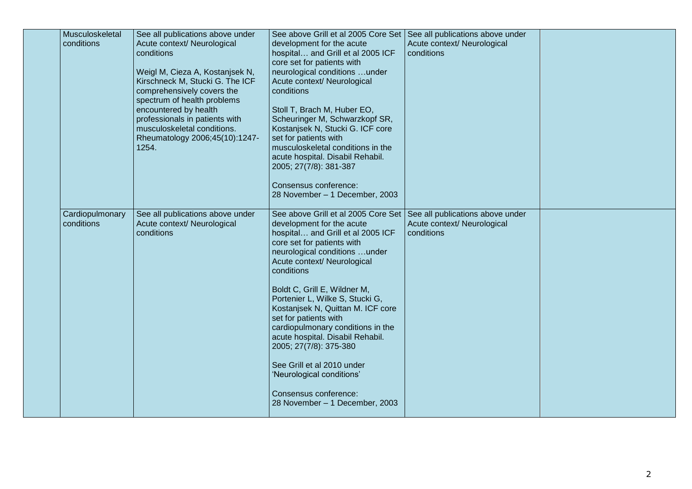| Musculoskeletal<br>conditions | See all publications above under<br>Acute context/ Neurological<br>conditions<br>Weigl M, Cieza A, Kostanjsek N,<br>Kirschneck M, Stucki G. The ICF<br>comprehensively covers the<br>spectrum of health problems<br>encountered by health<br>professionals in patients with<br>musculoskeletal conditions.<br>Rheumatology 2006;45(10):1247-<br>1254. | See above Grill et al 2005 Core Set   See all publications above under<br>development for the acute<br>hospital and Grill et al 2005 ICF<br>core set for patients with<br>neurological conditions under<br>Acute context/ Neurological<br>conditions<br>Stoll T, Brach M, Huber EO,<br>Scheuringer M, Schwarzkopf SR,<br>Kostanjsek N, Stucki G. ICF core<br>set for patients with<br>musculoskeletal conditions in the<br>acute hospital. Disabil Rehabil.<br>2005; 27(7/8): 381-387<br>Consensus conference:                                                                                                                                   | Acute context/ Neurological<br>conditions |  |
|-------------------------------|-------------------------------------------------------------------------------------------------------------------------------------------------------------------------------------------------------------------------------------------------------------------------------------------------------------------------------------------------------|--------------------------------------------------------------------------------------------------------------------------------------------------------------------------------------------------------------------------------------------------------------------------------------------------------------------------------------------------------------------------------------------------------------------------------------------------------------------------------------------------------------------------------------------------------------------------------------------------------------------------------------------------|-------------------------------------------|--|
| Cardiopulmonary<br>conditions | See all publications above under<br>Acute context/ Neurological<br>conditions                                                                                                                                                                                                                                                                         | 28 November - 1 December, 2003<br>See above Grill et al 2005 Core Set   See all publications above under<br>development for the acute<br>hospital and Grill et al 2005 ICF<br>core set for patients with<br>neurological conditions under<br>Acute context/ Neurological<br>conditions<br>Boldt C, Grill E, Wildner M,<br>Portenier L, Wilke S, Stucki G,<br>Kostanjsek N, Quittan M. ICF core<br>set for patients with<br>cardiopulmonary conditions in the<br>acute hospital. Disabil Rehabil.<br>2005; 27(7/8): 375-380<br>See Grill et al 2010 under<br>'Neurological conditions'<br>Consensus conference:<br>28 November - 1 December, 2003 | Acute context/ Neurological<br>conditions |  |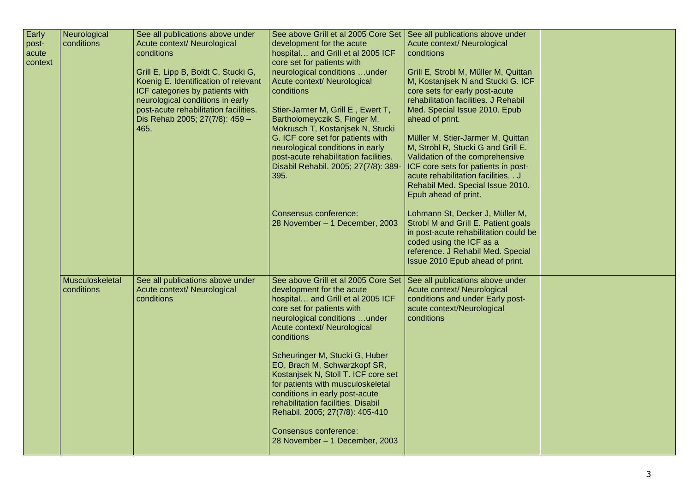| Early          | Neurological<br>conditions | See all publications above under<br>Acute context/ Neurological | See above Grill et al 2005 Core Set<br>development for the acute          | See all publications above under<br>Acute context/ Neurological       |  |
|----------------|----------------------------|-----------------------------------------------------------------|---------------------------------------------------------------------------|-----------------------------------------------------------------------|--|
| post-<br>acute |                            | conditions                                                      | hospital and Grill et al 2005 ICF                                         | conditions                                                            |  |
| context        |                            |                                                                 | core set for patients with                                                |                                                                       |  |
|                |                            | Grill E, Lipp B, Boldt C, Stucki G,                             | neurological conditions under                                             | Grill E, Strobl M, Müller M, Quittan                                  |  |
|                |                            | Koenig E. Identification of relevant                            | Acute context/ Neurological                                               | M, Kostanjsek N and Stucki G. ICF                                     |  |
|                |                            | ICF categories by patients with                                 | conditions                                                                | core sets for early post-acute                                        |  |
|                |                            | neurological conditions in early                                |                                                                           | rehabilitation facilities. J Rehabil                                  |  |
|                |                            | post-acute rehabilitation facilities.                           | Stier-Jarmer M, Grill E, Ewert T,                                         | Med. Special Issue 2010. Epub                                         |  |
|                |                            | Dis Rehab 2005; 27(7/8): 459 -                                  | Bartholomeyczik S, Finger M,                                              | ahead of print.                                                       |  |
|                |                            | 465.                                                            | Mokrusch T, Kostanjsek N, Stucki                                          |                                                                       |  |
|                |                            |                                                                 | G. ICF core set for patients with                                         | Müller M, Stier-Jarmer M, Quittan                                     |  |
|                |                            |                                                                 | neurological conditions in early<br>post-acute rehabilitation facilities. | M, Strobl R, Stucki G and Grill E.<br>Validation of the comprehensive |  |
|                |                            |                                                                 | Disabil Rehabil. 2005; 27(7/8): 389-                                      | ICF core sets for patients in post-                                   |  |
|                |                            |                                                                 | 395.                                                                      | acute rehabilitation facilities. . J                                  |  |
|                |                            |                                                                 |                                                                           | Rehabil Med. Special Issue 2010.                                      |  |
|                |                            |                                                                 |                                                                           | Epub ahead of print.                                                  |  |
|                |                            |                                                                 |                                                                           |                                                                       |  |
|                |                            |                                                                 | Consensus conference:                                                     | Lohmann St, Decker J, Müller M,                                       |  |
|                |                            |                                                                 | 28 November - 1 December, 2003                                            | Strobl M and Grill E. Patient goals                                   |  |
|                |                            |                                                                 |                                                                           | in post-acute rehabilitation could be                                 |  |
|                |                            |                                                                 |                                                                           | coded using the ICF as a<br>reference. J Rehabil Med. Special         |  |
|                |                            |                                                                 |                                                                           | Issue 2010 Epub ahead of print.                                       |  |
|                |                            |                                                                 |                                                                           |                                                                       |  |
|                | Musculoskeletal            | See all publications above under                                | See above Grill et al 2005 Core Set                                       | See all publications above under                                      |  |
|                | conditions                 | Acute context/ Neurological                                     | development for the acute                                                 | Acute context/ Neurological                                           |  |
|                |                            | conditions                                                      | hospital and Grill et al 2005 ICF                                         | conditions and under Early post-                                      |  |
|                |                            |                                                                 | core set for patients with                                                | acute context/Neurological                                            |  |
|                |                            |                                                                 | neurological conditions under                                             | conditions                                                            |  |
|                |                            |                                                                 | Acute context/ Neurological<br>conditions                                 |                                                                       |  |
|                |                            |                                                                 |                                                                           |                                                                       |  |
|                |                            |                                                                 | Scheuringer M, Stucki G, Huber                                            |                                                                       |  |
|                |                            |                                                                 | EO, Brach M, Schwarzkopf SR,                                              |                                                                       |  |
|                |                            |                                                                 | Kostanjsek N, Stoll T. ICF core set                                       |                                                                       |  |
|                |                            |                                                                 | for patients with musculoskeletal                                         |                                                                       |  |
|                |                            |                                                                 | conditions in early post-acute                                            |                                                                       |  |
|                |                            |                                                                 | rehabilitation facilities. Disabil                                        |                                                                       |  |
|                |                            |                                                                 | Rehabil. 2005; 27(7/8): 405-410                                           |                                                                       |  |
|                |                            |                                                                 | <b>Consensus conference:</b>                                              |                                                                       |  |
|                |                            |                                                                 | 28 November - 1 December, 2003                                            |                                                                       |  |
|                |                            |                                                                 |                                                                           |                                                                       |  |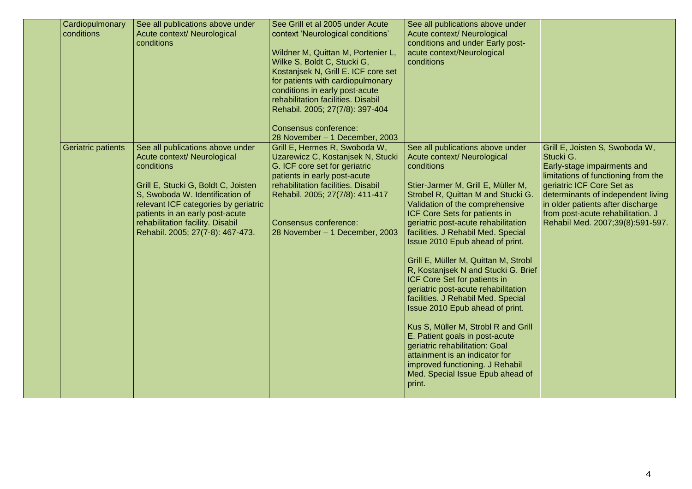| Cardiopulmonary<br>conditions | See all publications above under<br>Acute context/ Neurological<br>conditions                                                                                                                                                                                                                              | See Grill et al 2005 under Acute<br>context 'Neurological conditions'<br>Wildner M, Quittan M, Portenier L,<br>Wilke S, Boldt C, Stucki G,<br>Kostanjsek N, Grill E. ICF core set<br>for patients with cardiopulmonary<br>conditions in early post-acute<br>rehabilitation facilities. Disabil<br>Rehabil. 2005; 27(7/8): 397-404<br>Consensus conference:<br>28 November - 1 December, 2003 | See all publications above under<br>Acute context/ Neurological<br>conditions and under Early post-<br>acute context/Neurological<br>conditions                                                                                                                                                                                                                                                                                                                                                                                                                                                                                                                                                                                                                                                            |                                                                                                                                                                                                                                                                                                    |
|-------------------------------|------------------------------------------------------------------------------------------------------------------------------------------------------------------------------------------------------------------------------------------------------------------------------------------------------------|----------------------------------------------------------------------------------------------------------------------------------------------------------------------------------------------------------------------------------------------------------------------------------------------------------------------------------------------------------------------------------------------|------------------------------------------------------------------------------------------------------------------------------------------------------------------------------------------------------------------------------------------------------------------------------------------------------------------------------------------------------------------------------------------------------------------------------------------------------------------------------------------------------------------------------------------------------------------------------------------------------------------------------------------------------------------------------------------------------------------------------------------------------------------------------------------------------------|----------------------------------------------------------------------------------------------------------------------------------------------------------------------------------------------------------------------------------------------------------------------------------------------------|
| Geriatric patients            | See all publications above under<br>Acute context/ Neurological<br>conditions<br>Grill E, Stucki G, Boldt C, Joisten<br>S, Swoboda W. Identification of<br>relevant ICF categories by geriatric<br>patients in an early post-acute<br>rehabilitation facility. Disabil<br>Rehabil. 2005; 27(7-8): 467-473. | Grill E, Hermes R, Swoboda W,<br>Uzarewicz C, Kostanjsek N, Stucki<br>G. ICF core set for geriatric<br>patients in early post-acute<br>rehabilitation facilities. Disabil<br>Rehabil. 2005; 27(7/8): 411-417<br><b>Consensus conference:</b><br>28 November - 1 December, 2003                                                                                                               | See all publications above under<br>Acute context/ Neurological<br>conditions<br>Stier-Jarmer M, Grill E, Müller M,<br>Strobel R, Quittan M and Stucki G.<br>Validation of the comprehensive<br>ICF Core Sets for patients in<br>geriatric post-acute rehabilitation<br>facilities. J Rehabil Med. Special<br>Issue 2010 Epub ahead of print.<br>Grill E, Müller M, Quittan M, Strobl<br>R, Kostanjsek N and Stucki G. Brief<br>ICF Core Set for patients in<br>geriatric post-acute rehabilitation<br>facilities. J Rehabil Med. Special<br>Issue 2010 Epub ahead of print.<br>Kus S, Müller M, Strobl R and Grill<br>E. Patient goals in post-acute<br>geriatric rehabilitation: Goal<br>attainment is an indicator for<br>improved functioning. J Rehabil<br>Med. Special Issue Epub ahead of<br>print. | Grill E, Joisten S, Swoboda W,<br>Stucki G.<br>Early-stage impairments and<br>limitations of functioning from the<br>geriatric ICF Core Set as<br>determinants of independent living<br>in older patients after discharge<br>from post-acute rehabilitation. J<br>Rehabil Med. 2007;39(8):591-597. |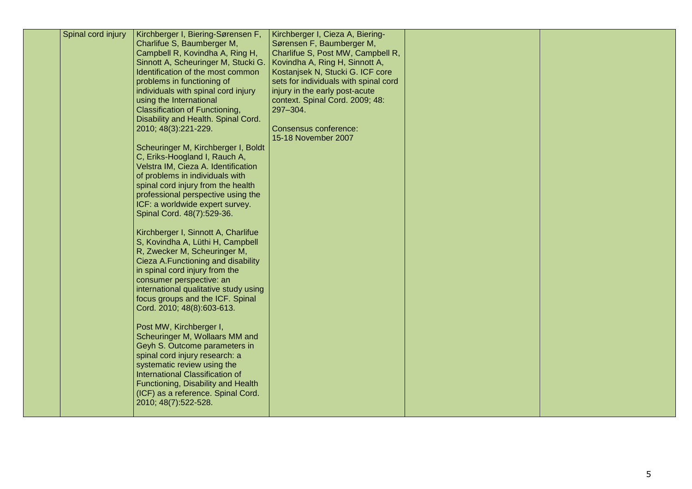| Spinal cord injury | Kirchberger I, Biering-Sørensen F,<br>Charlifue S, Baumberger M,<br>Campbell R, Kovindha A, Ring H,<br>Sinnott A, Scheuringer M, Stucki G.<br>Identification of the most common<br>problems in functioning of<br>individuals with spinal cord injury<br>using the International<br><b>Classification of Functioning,</b><br>Disability and Health. Spinal Cord.<br>2010; 48(3):221-229.<br>Scheuringer M, Kirchberger I, Boldt<br>C, Eriks-Hoogland I, Rauch A,<br>Velstra IM, Cieza A. Identification<br>of problems in individuals with<br>spinal cord injury from the health<br>professional perspective using the<br>ICF: a worldwide expert survey.<br>Spinal Cord. 48(7):529-36.<br>Kirchberger I, Sinnott A, Charlifue<br>S, Kovindha A, Lüthi H, Campbell<br>R, Zwecker M, Scheuringer M,<br>Cieza A.Functioning and disability<br>in spinal cord injury from the<br>consumer perspective: an<br>international qualitative study using<br>focus groups and the ICF. Spinal<br>Cord. 2010; 48(8):603-613.<br>Post MW, Kirchberger I,<br>Scheuringer M, Wollaars MM and<br>Geyh S. Outcome parameters in<br>spinal cord injury research: a<br>systematic review using the<br><b>International Classification of</b><br>Functioning, Disability and Health<br>(ICF) as a reference. Spinal Cord.<br>2010; 48(7):522-528. | Kirchberger I, Cieza A, Biering-<br>Sørensen F, Baumberger M,<br>Charlifue S, Post MW, Campbell R,<br>Kovindha A, Ring H, Sinnott A,<br>Kostanjsek N, Stucki G. ICF core<br>sets for individuals with spinal cord<br>injury in the early post-acute<br>context. Spinal Cord. 2009; 48:<br>297-304.<br><b>Consensus conference:</b><br>15-18 November 2007 |  |  |
|--------------------|-------------------------------------------------------------------------------------------------------------------------------------------------------------------------------------------------------------------------------------------------------------------------------------------------------------------------------------------------------------------------------------------------------------------------------------------------------------------------------------------------------------------------------------------------------------------------------------------------------------------------------------------------------------------------------------------------------------------------------------------------------------------------------------------------------------------------------------------------------------------------------------------------------------------------------------------------------------------------------------------------------------------------------------------------------------------------------------------------------------------------------------------------------------------------------------------------------------------------------------------------------------------------------------------------------------------------------|-----------------------------------------------------------------------------------------------------------------------------------------------------------------------------------------------------------------------------------------------------------------------------------------------------------------------------------------------------------|--|--|
|--------------------|-------------------------------------------------------------------------------------------------------------------------------------------------------------------------------------------------------------------------------------------------------------------------------------------------------------------------------------------------------------------------------------------------------------------------------------------------------------------------------------------------------------------------------------------------------------------------------------------------------------------------------------------------------------------------------------------------------------------------------------------------------------------------------------------------------------------------------------------------------------------------------------------------------------------------------------------------------------------------------------------------------------------------------------------------------------------------------------------------------------------------------------------------------------------------------------------------------------------------------------------------------------------------------------------------------------------------------|-----------------------------------------------------------------------------------------------------------------------------------------------------------------------------------------------------------------------------------------------------------------------------------------------------------------------------------------------------------|--|--|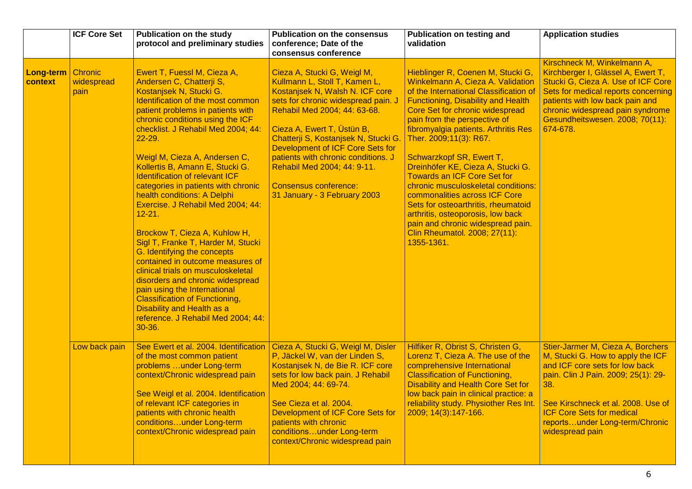|                      | <b>ICF Core Set</b>           | <b>Publication on the study</b><br>protocol and preliminary studies                                                                                                                                                                                                                                                                                                                                                                                                                                                                                                                                                                                                                                                                                                                                                                                               | <b>Publication on the consensus</b><br>conference; Date of the<br>consensus conference                                                                                                                                                                                                                                                                                                                                 | <b>Publication on testing and</b><br>validation                                                                                                                                                                                                                                                                                                                                                                                                                                                                                                                                                                                                   | <b>Application studies</b>                                                                                                                                                                                                                                                            |
|----------------------|-------------------------------|-------------------------------------------------------------------------------------------------------------------------------------------------------------------------------------------------------------------------------------------------------------------------------------------------------------------------------------------------------------------------------------------------------------------------------------------------------------------------------------------------------------------------------------------------------------------------------------------------------------------------------------------------------------------------------------------------------------------------------------------------------------------------------------------------------------------------------------------------------------------|------------------------------------------------------------------------------------------------------------------------------------------------------------------------------------------------------------------------------------------------------------------------------------------------------------------------------------------------------------------------------------------------------------------------|---------------------------------------------------------------------------------------------------------------------------------------------------------------------------------------------------------------------------------------------------------------------------------------------------------------------------------------------------------------------------------------------------------------------------------------------------------------------------------------------------------------------------------------------------------------------------------------------------------------------------------------------------|---------------------------------------------------------------------------------------------------------------------------------------------------------------------------------------------------------------------------------------------------------------------------------------|
| Long-term<br>context | Chronic<br>widespread<br>pain | Ewert T, Fuessl M, Cieza A,<br>Andersen C, Chatterji S,<br>Kostanjsek N, Stucki G.<br>Identification of the most common<br>patient problems in patients with<br>chronic conditions using the ICF<br>checklist. J Rehabil Med 2004; 44:<br>22-29.<br>Weigl M, Cieza A, Andersen C,<br>Kollertis B, Amann E, Stucki G.<br><b>Identification of relevant ICF</b><br>categories in patients with chronic<br>health conditions: A Delphi<br>Exercise. J Rehabil Med 2004; 44:<br>$12 - 21.$<br>Brockow T, Cieza A, Kuhlow H,<br>Sigl T, Franke T, Harder M, Stucki<br>G. Identifying the concepts<br>contained in outcome measures of<br>clinical trials on musculoskeletal<br>disorders and chronic widespread<br>pain using the International<br><b>Classification of Functioning,</b><br>Disability and Health as a<br>reference. J Rehabil Med 2004; 44:<br>30-36. | Cieza A, Stucki G, Weigl M,<br>Kullmann L, Stoll T, Kamen L,<br>Kostanjsek N, Walsh N. ICF core<br>sets for chronic widespread pain. J<br>Rehabil Med 2004; 44: 63-68.<br>Cieza A, Ewert T, Üstün B,<br>Chatterji S, Kostanjsek N, Stucki G.<br>Development of ICF Core Sets for<br>patients with chronic conditions. J<br>Rehabil Med 2004; 44: 9-11.<br><b>Consensus conference:</b><br>31 January - 3 February 2003 | Hieblinger R, Coenen M, Stucki G,<br>Winkelmann A, Cieza A. Validation<br>of the International Classification of<br><b>Functioning, Disability and Health</b><br>Core Set for chronic widespread<br>pain from the perspective of<br>fibromyalgia patients. Arthritis Res<br>Ther. 2009;11(3): R67.<br>Schwarzkopf SR, Ewert T,<br>Dreinhöfer KE, Cieza A, Stucki G.<br><b>Towards an ICF Core Set for</b><br>chronic musculoskeletal conditions:<br>commonalities across ICF Core<br>Sets for osteoarthritis, rheumatoid<br>arthritis, osteoporosis, low back<br>pain and chronic widespread pain.<br>Clin Rheumatol. 2008; 27(11):<br>1355-1361. | Kirschneck M, Winkelmann A,<br>Kirchberger I, Glässel A, Ewert T,<br>Stucki G, Cieza A. Use of ICF Core<br>Sets for medical reports concerning<br>patients with low back pain and<br>chronic widespread pain syndrome<br>Gesundheitswesen. 2008; 70(11):<br>674-678.                  |
|                      | Low back pain                 | See Ewert et al. 2004. Identification<br>of the most common patient<br>problems  under Long-term<br>context/Chronic widespread pain<br>See Weigl et al. 2004. Identification<br>of relevant ICF categories in<br>patients with chronic health<br>conditionsunder Long-term<br>context/Chronic widespread pain                                                                                                                                                                                                                                                                                                                                                                                                                                                                                                                                                     | Cieza A, Stucki G, Weigl M, Disler<br>P, Jäckel W, van der Linden S,<br>Kostanjsek N, de Bie R. ICF core<br>sets for low back pain. J Rehabil<br>Med 2004; 44: 69-74.<br>See Cieza et al. 2004.<br>Development of ICF Core Sets for<br>patients with chronic<br>conditionsunder Long-term<br>context/Chronic widespread pain                                                                                           | Hilfiker R, Obrist S, Christen G,<br>Lorenz T, Cieza A. The use of the<br>comprehensive International<br><b>Classification of Functioning,</b><br><b>Disability and Health Core Set for</b><br>low back pain in clinical practice: a<br>reliability study. Physiother Res Int.<br>2009; 14(3):147-166.                                                                                                                                                                                                                                                                                                                                            | Stier-Jarmer M, Cieza A, Borchers<br>M, Stucki G. How to apply the ICF<br>and ICF core sets for low back<br>pain. Clin J Pain. 2009; 25(1): 29-<br>38.<br>See Kirschneck et al. 2008. Use of<br><b>ICF Core Sets for medical</b><br>reportsunder Long-term/Chronic<br>widespread pain |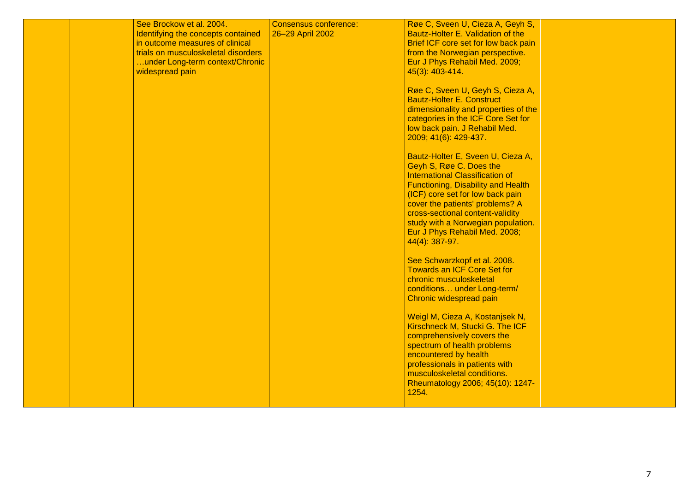|  | See Brockow et al. 2004.<br>Identifying the concepts contained<br>in outcome measures of clinical<br>trials on musculoskeletal disorders<br>under Long-term context/Chronic<br>widespread pain | Consensus conference:<br>26-29 April 2002 | Røe C, Sveen U, Cieza A, Geyh S,<br>Bautz-Holter E. Validation of the<br>Brief ICF core set for low back pain<br>from the Norwegian perspective.<br>Eur J Phys Rehabil Med. 2009;<br>45(3): 403-414.<br>Røe C, Sveen U, Geyh S, Cieza A,<br><b>Bautz-Holter E. Construct</b><br>dimensionality and properties of the<br>categories in the ICF Core Set for<br>low back pain. J Rehabil Med.<br>2009; 41(6): 429-437.<br>Bautz-Holter E, Sveen U, Cieza A,<br>Geyh S, Røe C. Does the<br><b>International Classification of</b><br><b>Functioning, Disability and Health</b><br>(ICF) core set for low back pain<br>cover the patients' problems? A<br>cross-sectional content-validity<br>study with a Norwegian population.<br>Eur J Phys Rehabil Med. 2008;<br>44(4): 387-97.<br>See Schwarzkopf et al. 2008.<br><b>Towards an ICF Core Set for</b><br>chronic musculoskeletal<br>conditions under Long-term/<br>Chronic widespread pain<br>Weigl M, Cieza A, Kostanjsek N,<br>Kirschneck M, Stucki G. The ICF<br>comprehensively covers the<br>spectrum of health problems<br>encountered by health |  |
|--|------------------------------------------------------------------------------------------------------------------------------------------------------------------------------------------------|-------------------------------------------|--------------------------------------------------------------------------------------------------------------------------------------------------------------------------------------------------------------------------------------------------------------------------------------------------------------------------------------------------------------------------------------------------------------------------------------------------------------------------------------------------------------------------------------------------------------------------------------------------------------------------------------------------------------------------------------------------------------------------------------------------------------------------------------------------------------------------------------------------------------------------------------------------------------------------------------------------------------------------------------------------------------------------------------------------------------------------------------------------------|--|
|  |                                                                                                                                                                                                |                                           | professionals in patients with<br>musculoskeletal conditions.<br>Rheumatology 2006; 45(10): 1247-<br>1254.                                                                                                                                                                                                                                                                                                                                                                                                                                                                                                                                                                                                                                                                                                                                                                                                                                                                                                                                                                                             |  |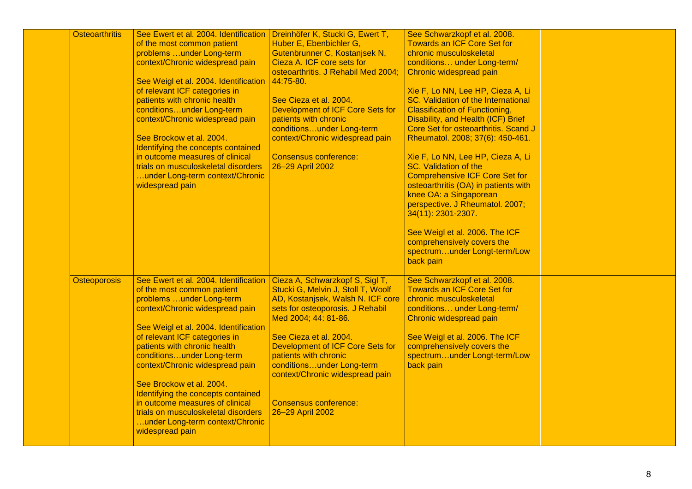| <b>Osteoarthritis</b> | See Ewert et al. 2004. Identification | Dreinhöfer K, Stucki G, Ewert T,    | See Schwarzkopf et al. 2008.          |  |
|-----------------------|---------------------------------------|-------------------------------------|---------------------------------------|--|
|                       | of the most common patient            | Huber E, Ebenbichler G,             | <b>Towards an ICF Core Set for</b>    |  |
|                       | problems under Long-term              | Gutenbrunner C, Kostanjsek N,       | chronic musculoskeletal               |  |
|                       | context/Chronic widespread pain       | Cieza A. ICF core sets for          | conditions under Long-term/           |  |
|                       |                                       | osteoarthritis. J Rehabil Med 2004; | Chronic widespread pain               |  |
|                       | See Weigl et al. 2004. Identification | 44:75-80.                           |                                       |  |
|                       | of relevant ICF categories in         |                                     | Xie F, Lo NN, Lee HP, Cieza A, Li     |  |
|                       | patients with chronic health          | See Cieza et al. 2004.              | SC. Validation of the International   |  |
|                       | conditionsunder Long-term             | Development of ICF Core Sets for    | <b>Classification of Functioning,</b> |  |
|                       | context/Chronic widespread pain       | patients with chronic               | Disability, and Health (ICF) Brief    |  |
|                       |                                       | conditionsunder Long-term           | Core Set for osteoarthritis. Scand J  |  |
|                       | See Brockow et al. 2004.              | context/Chronic widespread pain     | Rheumatol. 2008; 37(6): 450-461.      |  |
|                       | Identifying the concepts contained    |                                     |                                       |  |
|                       | in outcome measures of clinical       | <b>Consensus conference:</b>        | Xie F, Lo NN, Lee HP, Cieza A, Li     |  |
|                       | trials on musculoskeletal disorders   | 26-29 April 2002                    | <b>SC. Validation of the</b>          |  |
|                       | under Long-term context/Chronic       |                                     | <b>Comprehensive ICF Core Set for</b> |  |
|                       | widespread pain                       |                                     | osteoarthritis (OA) in patients with  |  |
|                       |                                       |                                     | knee OA: a Singaporean                |  |
|                       |                                       |                                     | perspective. J Rheumatol. 2007;       |  |
|                       |                                       |                                     | 34(11): 2301-2307.                    |  |
|                       |                                       |                                     |                                       |  |
|                       |                                       |                                     | See Weigl et al. 2006. The ICF        |  |
|                       |                                       |                                     | comprehensively covers the            |  |
|                       |                                       |                                     | spectrumunder Longt-term/Low          |  |
|                       |                                       |                                     | back pain                             |  |
|                       |                                       |                                     |                                       |  |
| <b>Osteoporosis</b>   | See Ewert et al. 2004. Identification | Cieza A, Schwarzkopf S, Sigl T,     | See Schwarzkopf et al. 2008.          |  |
|                       | of the most common patient            | Stucki G, Melvin J, Stoll T, Woolf  | <b>Towards an ICF Core Set for</b>    |  |
|                       | problems under Long-term              | AD, Kostanjsek, Walsh N. ICF core   | chronic musculoskeletal               |  |
|                       | context/Chronic widespread pain       | sets for osteoporosis. J Rehabil    | conditions under Long-term/           |  |
|                       |                                       | Med 2004; 44: 81-86.                | Chronic widespread pain               |  |
|                       | See Weigl et al. 2004. Identification |                                     |                                       |  |
|                       | of relevant ICF categories in         | See Cieza et al. 2004.              | See Weigl et al. 2006. The ICF        |  |
|                       | patients with chronic health          | Development of ICF Core Sets for    | comprehensively covers the            |  |
|                       | conditionsunder Long-term             | patients with chronic               | spectrumunder Longt-term/Low          |  |
|                       | context/Chronic widespread pain       | conditionsunder Long-term           | back pain                             |  |
|                       |                                       | context/Chronic widespread pain     |                                       |  |
|                       | See Brockow et al. 2004.              |                                     |                                       |  |
|                       | Identifying the concepts contained    |                                     |                                       |  |
|                       | in outcome measures of clinical       | <b>Consensus conference:</b>        |                                       |  |
|                       | trials on musculoskeletal disorders   | 26-29 April 2002                    |                                       |  |
|                       |                                       |                                     |                                       |  |
|                       | under Long-term context/Chronic       |                                     |                                       |  |
|                       | widespread pain                       |                                     |                                       |  |
|                       |                                       |                                     |                                       |  |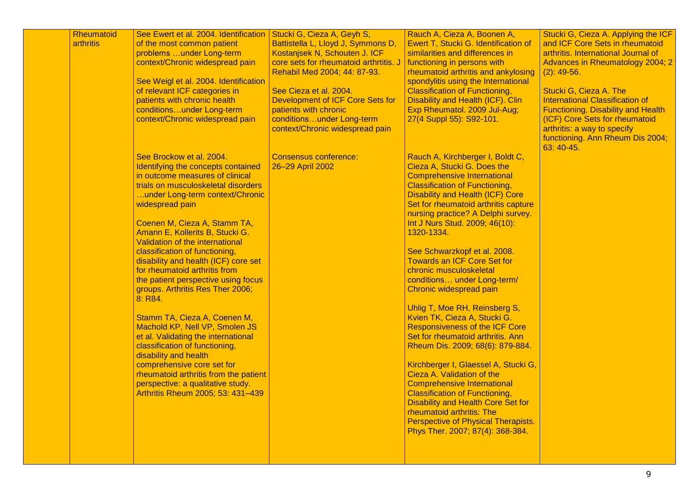| Rheumatoid | See Ewert et al. 2004. Identification                                                                                                                                                                                                                                                                                                                                                                                                                                                                                                                                                                                                                                                                                                                                                                                      | Stucki G, Cieza A, Geyh S,                                                                                                                                              | Rauch A, Cieza A, Boonen A,                                                                                                                                                                                                                                                                                                                                                                                                                                                                                                                                                                                                                                                                                                                                                                                                                                                                                                                                                     | Stucki G, Cieza A. Applying the ICF                                                                                                                                                                   |
|------------|----------------------------------------------------------------------------------------------------------------------------------------------------------------------------------------------------------------------------------------------------------------------------------------------------------------------------------------------------------------------------------------------------------------------------------------------------------------------------------------------------------------------------------------------------------------------------------------------------------------------------------------------------------------------------------------------------------------------------------------------------------------------------------------------------------------------------|-------------------------------------------------------------------------------------------------------------------------------------------------------------------------|---------------------------------------------------------------------------------------------------------------------------------------------------------------------------------------------------------------------------------------------------------------------------------------------------------------------------------------------------------------------------------------------------------------------------------------------------------------------------------------------------------------------------------------------------------------------------------------------------------------------------------------------------------------------------------------------------------------------------------------------------------------------------------------------------------------------------------------------------------------------------------------------------------------------------------------------------------------------------------|-------------------------------------------------------------------------------------------------------------------------------------------------------------------------------------------------------|
| arthritis  | of the most common patient<br>problems  under Long-term<br>context/Chronic widespread pain<br>See Weigl et al. 2004. Identification<br>of relevant ICF categories in                                                                                                                                                                                                                                                                                                                                                                                                                                                                                                                                                                                                                                                       | Battistella L, Lloyd J, Symmons D,<br>Kostanjsek N, Schouten J. ICF<br>core sets for rheumatoid arthrtitis. J<br>Rehabil Med 2004; 44: 87-93.<br>See Cieza et al. 2004. | Ewert T, Stucki G. Identification of<br>similarities and differences in<br>functioning in persons with<br>rheumatoid arthritis and ankylosing<br>spondylitis using the International<br><b>Classification of Functioning,</b>                                                                                                                                                                                                                                                                                                                                                                                                                                                                                                                                                                                                                                                                                                                                                   | and ICF Core Sets in rheumatoid<br>arthritis. International Journal of<br>Advances in Rheumatology 2004; 2<br>$(2)$ : 49-56.<br>Stucki G, Cieza A. The                                                |
|            | patients with chronic health<br>conditionsunder Long-term<br>context/Chronic widespread pain                                                                                                                                                                                                                                                                                                                                                                                                                                                                                                                                                                                                                                                                                                                               | Development of ICF Core Sets for<br>patients with chronic<br>conditionsunder Long-term<br>context/Chronic widespread pain                                               | Disability and Health (ICF). Clin<br>Exp Rheumatol. 2009 Jul-Aug;<br>27(4 Suppl 55): S92-101.                                                                                                                                                                                                                                                                                                                                                                                                                                                                                                                                                                                                                                                                                                                                                                                                                                                                                   | <b>International Classification of</b><br><b>Functioning, Disability and Health</b><br>(ICF) Core Sets for rheumatoid<br>arthritis: a way to specify<br>functioning. Ann Rheum Dis 2004;<br>63:40-45. |
|            | See Brockow et al. 2004.<br>Identifying the concepts contained<br>in outcome measures of clinical<br>trials on musculoskeletal disorders<br>under Long-term context/Chronic<br>widespread pain<br>Coenen M, Cieza A, Stamm TA,<br>Amann E, Kollerits B, Stucki G.<br>Validation of the international<br>classification of functioning,<br>disability and health (ICF) core set<br>for rheumatoid arthritis from<br>the patient perspective using focus<br>groups. Arthritis Res Ther 2006;<br>8: R84.<br>Stamm TA, Cieza A, Coenen M,<br>Machold KP, Nell VP, Smolen JS<br>et al. Validating the international<br>classification of functioning,<br>disability and health<br>comprehensive core set for<br>rheumatoid arthritis from the patient<br>perspective: a qualitative study.<br>Arthritis Rheum 2005; 53: 431-439 | <b>Consensus conference:</b><br>26-29 April 2002                                                                                                                        | Rauch A, Kirchberger I, Boldt C,<br>Cieza A, Stucki G. Does the<br><b>Comprehensive International</b><br><b>Classification of Functioning,</b><br><b>Disability and Health (ICF) Core</b><br>Set for rheumatoid arthritis capture<br>nursing practice? A Delphi survey.<br>Int J Nurs Stud. 2009; 46(10):<br>1320-1334.<br>See Schwarzkopf et al. 2008.<br><b>Towards an ICF Core Set for</b><br>chronic musculoskeletal<br>conditions under Long-term/<br>Chronic widespread pain<br>Uhlig T, Moe RH, Reinsberg S,<br>Kvien TK, Cieza A, Stucki G.<br><b>Responsiveness of the ICF Core</b><br>Set for rheumatoid arthritis. Ann<br>Rheum Dis. 2009; 68(6): 879-884.<br>Kirchberger I, Glaessel A, Stucki G,<br>Cieza A. Validation of the<br><b>Comprehensive International</b><br><b>Classification of Functioning,</b><br><b>Disability and Health Core Set for</b><br>rheumatoid arthritis: The<br>Perspective of Physical Therapists.<br>Phys Ther. 2007; 87(4): 368-384. |                                                                                                                                                                                                       |
|            |                                                                                                                                                                                                                                                                                                                                                                                                                                                                                                                                                                                                                                                                                                                                                                                                                            |                                                                                                                                                                         |                                                                                                                                                                                                                                                                                                                                                                                                                                                                                                                                                                                                                                                                                                                                                                                                                                                                                                                                                                                 |                                                                                                                                                                                                       |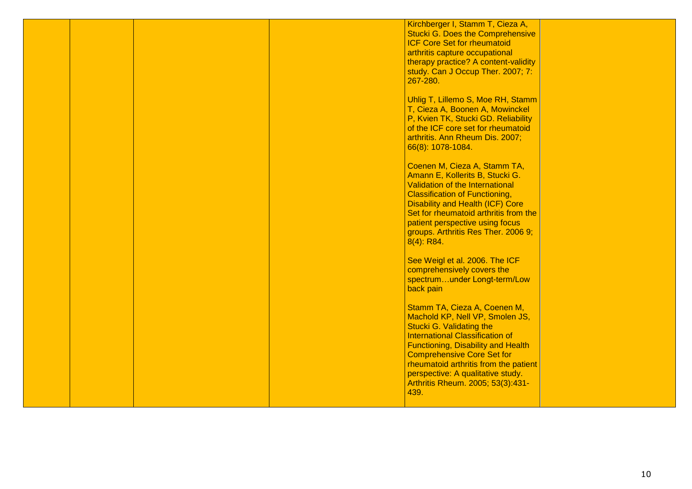|  |  | Kirchberger I, Stamm T, Cieza A,          |  |
|--|--|-------------------------------------------|--|
|  |  | <b>Stucki G. Does the Comprehensive</b>   |  |
|  |  |                                           |  |
|  |  | <b>ICF Core Set for rheumatoid</b>        |  |
|  |  | arthritis capture occupational            |  |
|  |  | therapy practice? A content-validity      |  |
|  |  |                                           |  |
|  |  | study. Can J Occup Ther. 2007; 7:         |  |
|  |  | 267-280.                                  |  |
|  |  |                                           |  |
|  |  | Uhlig T, Lillemo S, Moe RH, Stamm         |  |
|  |  |                                           |  |
|  |  | T, Cieza A, Boonen A, Mowinckel           |  |
|  |  | P, Kvien TK, Stucki GD. Reliability       |  |
|  |  | of the ICF core set for rheumatoid        |  |
|  |  | arthritis. Ann Rheum Dis. 2007;           |  |
|  |  |                                           |  |
|  |  | 66(8): 1078-1084.                         |  |
|  |  |                                           |  |
|  |  | Coenen M, Cieza A, Stamm TA,              |  |
|  |  |                                           |  |
|  |  | Amann E, Kollerits B, Stucki G.           |  |
|  |  | Validation of the International           |  |
|  |  | <b>Classification of Functioning,</b>     |  |
|  |  | <b>Disability and Health (ICF) Core</b>   |  |
|  |  |                                           |  |
|  |  | Set for rheumatoid arthritis from the     |  |
|  |  | patient perspective using focus           |  |
|  |  | groups. Arthritis Res Ther. 2006 9;       |  |
|  |  | $8(4)$ : R84.                             |  |
|  |  |                                           |  |
|  |  |                                           |  |
|  |  | See Weigl et al. 2006. The ICF            |  |
|  |  | comprehensively covers the                |  |
|  |  | spectrumunder Longt-term/Low              |  |
|  |  |                                           |  |
|  |  | back pain                                 |  |
|  |  |                                           |  |
|  |  | Stamm TA, Cieza A, Coenen M,              |  |
|  |  | Machold KP, Nell VP, Smolen JS,           |  |
|  |  |                                           |  |
|  |  | <b>Stucki G. Validating the</b>           |  |
|  |  | <b>International Classification of</b>    |  |
|  |  | <b>Functioning, Disability and Health</b> |  |
|  |  | <b>Comprehensive Core Set for</b>         |  |
|  |  |                                           |  |
|  |  | rheumatoid arthritis from the patient     |  |
|  |  | perspective: A qualitative study.         |  |
|  |  | Arthritis Rheum. 2005; 53(3):431-         |  |
|  |  | 439.                                      |  |
|  |  |                                           |  |
|  |  |                                           |  |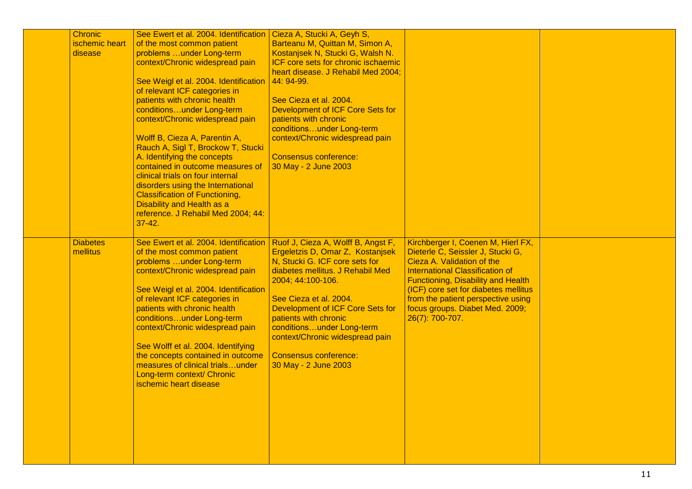| <b>Chronic</b><br>ischemic heart<br>disease | See Ewert et al. 2004. Identification<br>of the most common patient<br>problems  under Long-term<br>context/Chronic widespread pain<br>See Weigl et al. 2004. Identification   44: 94-99.<br>of relevant ICF categories in<br>patients with chronic health<br>conditionsunder Long-term<br>context/Chronic widespread pain<br>Wolff B, Cieza A, Parentin A,<br>Rauch A, Sigl T, Brockow T, Stucki<br>A. Identifying the concepts<br>contained in outcome measures of<br>clinical trials on four internal<br>disorders using the International<br><b>Classification of Functioning,</b><br><b>Disability and Health as a</b><br>reference. J Rehabil Med 2004; 44:<br>$37 - 42.$<br>See Ewert et al. 2004. Identification | Cieza A, Stucki A, Geyh S,<br>Barteanu M, Quittan M, Simon A,<br>Kostanjsek N, Stucki G, Walsh N.<br>ICF core sets for chronic ischaemic<br>heart disease. J Rehabil Med 2004;<br>See Cieza et al. 2004.<br>Development of ICF Core Sets for<br>patients with chronic<br>conditionsunder Long-term<br>context/Chronic widespread pain<br><b>Consensus conference:</b><br>30 May - 2 June 2003 | Kirchberger I, Coenen M, Hierl FX,                                                                                                                                                                                                                                                            |  |
|---------------------------------------------|--------------------------------------------------------------------------------------------------------------------------------------------------------------------------------------------------------------------------------------------------------------------------------------------------------------------------------------------------------------------------------------------------------------------------------------------------------------------------------------------------------------------------------------------------------------------------------------------------------------------------------------------------------------------------------------------------------------------------|-----------------------------------------------------------------------------------------------------------------------------------------------------------------------------------------------------------------------------------------------------------------------------------------------------------------------------------------------------------------------------------------------|-----------------------------------------------------------------------------------------------------------------------------------------------------------------------------------------------------------------------------------------------------------------------------------------------|--|
| <b>Diabetes</b><br>mellitus                 | of the most common patient<br>problems  under Long-term<br>context/Chronic widespread pain<br>See Weigl et al. 2004. Identification<br>of relevant ICF categories in<br>patients with chronic health<br>conditionsunder Long-term<br>context/Chronic widespread pain<br>See Wolff et al. 2004. Identifying<br>the concepts contained in outcome<br>measures of clinical trialsunder<br>Long-term context/ Chronic<br>ischemic heart disease                                                                                                                                                                                                                                                                              | Ruof J, Cieza A, Wolff B, Angst F,<br>Ergeletzis D, Omar Z, Kostanjsek<br>N, Stucki G. ICF core sets for<br>diabetes mellitus. J Rehabil Med<br>2004; 44:100-106.<br>See Cieza et al. 2004.<br>Development of ICF Core Sets for<br>patients with chronic<br>conditionsunder Long-term<br>context/Chronic widespread pain<br><b>Consensus conference:</b><br>30 May - 2 June 2003              | Dieterle C, Seissler J, Stucki G,<br>Cieza A. Validation of the<br><b>International Classification of</b><br><b>Functioning, Disability and Health</b><br>(ICF) core set for diabetes mellitus<br>from the patient perspective using<br>focus groups. Diabet Med. 2009;<br>$26(7)$ : 700-707. |  |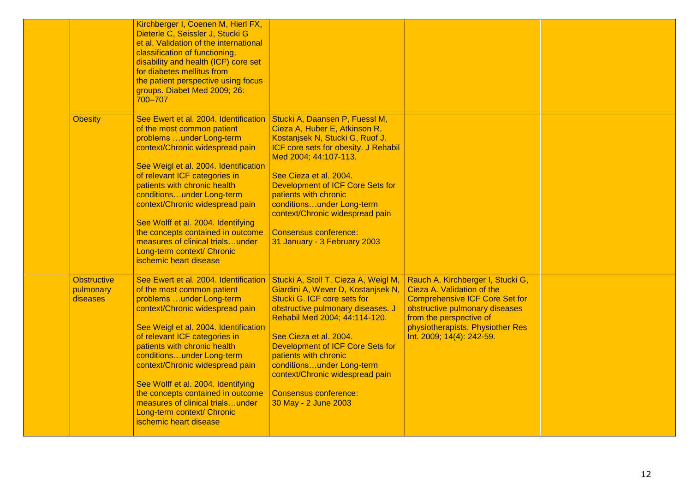|                                             | Kirchberger I, Coenen M, Hierl FX,<br>Dieterle C, Seissler J, Stucki G<br>et al. Validation of the international<br>classification of functioning,<br>disability and health (ICF) core set<br>for diabetes mellitus from<br>the patient perspective using focus<br>groups. Diabet Med 2009; 26:<br>700-707                                                                                                                                                                          |                                                                                                                                                                                                                                                                                                                                                                                                |                                                                                                                                                                                                                                        |  |
|---------------------------------------------|-------------------------------------------------------------------------------------------------------------------------------------------------------------------------------------------------------------------------------------------------------------------------------------------------------------------------------------------------------------------------------------------------------------------------------------------------------------------------------------|------------------------------------------------------------------------------------------------------------------------------------------------------------------------------------------------------------------------------------------------------------------------------------------------------------------------------------------------------------------------------------------------|----------------------------------------------------------------------------------------------------------------------------------------------------------------------------------------------------------------------------------------|--|
| <b>Obesity</b>                              | See Ewert et al. 2004. Identification<br>of the most common patient<br>problems under Long-term<br>context/Chronic widespread pain<br>See Weigl et al. 2004. Identification<br>of relevant ICF categories in<br>patients with chronic health<br>conditionsunder Long-term<br>context/Chronic widespread pain<br>See Wolff et al. 2004. Identifying<br>the concepts contained in outcome<br>measures of clinical trialsunder<br>Long-term context/ Chronic<br>ischemic heart disease | Stucki A, Daansen P, Fuessl M,<br>Cieza A, Huber E, Atkinson R,<br>Kostanjsek N, Stucki G, Ruof J.<br>ICF core sets for obesity. J Rehabil<br>Med 2004; 44:107-113.<br>See Cieza et al. 2004.<br>Development of ICF Core Sets for<br>patients with chronic<br>conditionsunder Long-term<br>context/Chronic widespread pain<br><b>Consensus conference:</b><br>31 January - 3 February 2003     |                                                                                                                                                                                                                                        |  |
| <b>Obstructive</b><br>pulmonary<br>diseases | See Ewert et al. 2004. Identification<br>of the most common patient<br>problems under Long-term<br>context/Chronic widespread pain<br>See Weigl et al. 2004. Identification<br>of relevant ICF categories in<br>patients with chronic health<br>conditionsunder Long-term<br>context/Chronic widespread pain<br>See Wolff et al. 2004. Identifying<br>the concepts contained in outcome<br>measures of clinical trialsunder<br>Long-term context/ Chronic<br>ischemic heart disease | Stucki A, Stoll T, Cieza A, Weigl M,<br>Giardini A, Wever D, Kostanjsek N,<br>Stucki G. ICF core sets for<br>obstructive pulmonary diseases. J<br>Rehabil Med 2004; 44:114-120.<br>See Cieza et al. 2004.<br>Development of ICF Core Sets for<br>patients with chronic<br>conditionsunder Long-term<br>context/Chronic widespread pain<br><b>Consensus conference:</b><br>30 May - 2 June 2003 | Rauch A, Kirchberger I, Stucki G,<br>Cieza A. Validation of the<br><b>Comprehensive ICF Core Set for</b><br>obstructive pulmonary diseases<br>from the perspective of<br>physiotherapists. Physiother Res<br>Int. 2009; 14(4): 242-59. |  |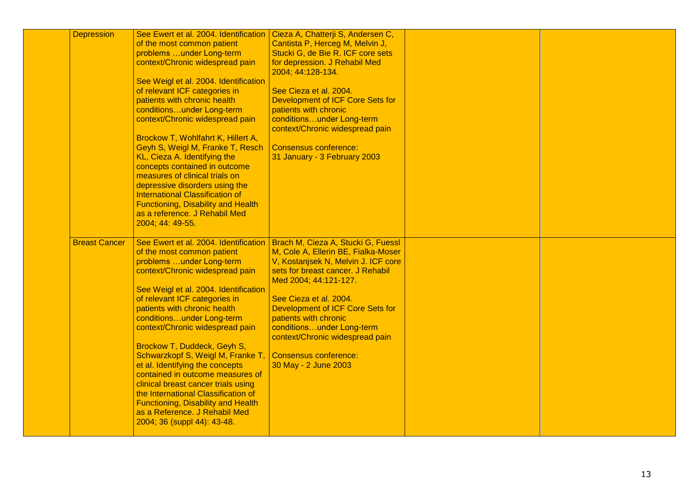| <b>Depression</b>    | See Ewert et al. 2004. Identification<br>of the most common patient<br>problems under Long-term<br>context/Chronic widespread pain<br>See Weigl et al. 2004. Identification<br>of relevant ICF categories in<br>patients with chronic health<br>conditionsunder Long-term<br>context/Chronic widespread pain<br>Brockow T, Wohlfahrt K, Hillert A,<br>Geyh S, Weigl M, Franke T, Resch<br>KL, Cieza A. Identifying the<br>concepts contained in outcome<br>measures of clinical trials on<br>depressive disorders using the<br><b>International Classification of</b><br><b>Functioning, Disability and Health</b><br>as a reference. J Rehabil Med<br>2004; 44: 49-55. | Cieza A, Chatterji S, Andersen C,<br>Cantista P, Herceg M, Melvin J,<br>Stucki G, de Bie R. ICF core sets<br>for depression. J Rehabil Med<br>2004; 44:128-134.<br>See Cieza et al. 2004.<br>Development of ICF Core Sets for<br>patients with chronic<br>conditionsunder Long-term<br>context/Chronic widespread pain<br><b>Consensus conference:</b><br>31 January - 3 February 2003                                                |  |
|----------------------|-------------------------------------------------------------------------------------------------------------------------------------------------------------------------------------------------------------------------------------------------------------------------------------------------------------------------------------------------------------------------------------------------------------------------------------------------------------------------------------------------------------------------------------------------------------------------------------------------------------------------------------------------------------------------|---------------------------------------------------------------------------------------------------------------------------------------------------------------------------------------------------------------------------------------------------------------------------------------------------------------------------------------------------------------------------------------------------------------------------------------|--|
| <b>Breast Cancer</b> | of the most common patient<br>problems under Long-term<br>context/Chronic widespread pain<br>See Weigl et al. 2004. Identification<br>of relevant ICF categories in<br>patients with chronic health<br>conditionsunder Long-term<br>context/Chronic widespread pain<br>Brockow T, Duddeck, Geyh S,<br>Schwarzkopf S, Weigl M, Franke T,<br>et al. Identifying the concepts<br>contained in outcome measures of<br>clinical breast cancer trials using<br>the International Classification of<br><b>Functioning, Disability and Health</b><br>as a Reference. J Rehabil Med<br>2004; 36 (suppl 44): 43-48.                                                               | See Ewert et al. 2004. Identification   Brach M, Cieza A, Stucki G, Fuessl<br>M, Cole A, Ellerin BE, Fialka-Moser<br>V, Kostanjsek N, Melvin J. ICF core<br>sets for breast cancer. J Rehabil<br>Med 2004; 44:121-127.<br>See Cieza et al. 2004.<br>Development of ICF Core Sets for<br>patients with chronic<br>conditionsunder Long-term<br>context/Chronic widespread pain<br><b>Consensus conference:</b><br>30 May - 2 June 2003 |  |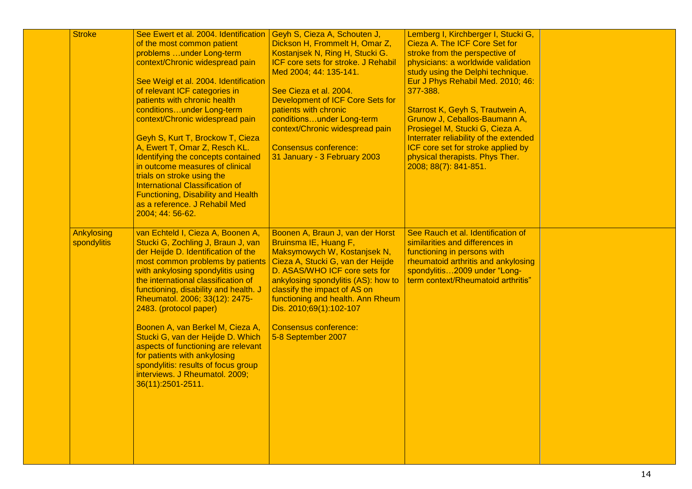| <b>Stroke</b>             | See Ewert et al. 2004. Identification<br>of the most common patient<br>problems under Long-term<br>context/Chronic widespread pain<br>See Weigl et al. 2004. Identification<br>of relevant ICF categories in<br>patients with chronic health<br>conditionsunder Long-term                                                                                                                                                                                                                                                                                                         | Geyh S, Cieza A, Schouten J,<br>Dickson H, Frommelt H, Omar Z,<br>Kostanjsek N, Ring H, Stucki G.<br>ICF core sets for stroke. J Rehabil<br>Med 2004; 44: 135-141.<br>See Cieza et al. 2004.<br>Development of ICF Core Sets for<br>patients with chronic                                                                                                    | Lemberg I, Kirchberger I, Stucki G,<br>Cieza A. The ICF Core Set for<br>stroke from the perspective of<br>physicians: a worldwide validation<br>study using the Delphi technique.<br>Eur J Phys Rehabil Med. 2010; 46:<br>377-388.<br>Starrost K, Geyh S, Trautwein A, |  |
|---------------------------|-----------------------------------------------------------------------------------------------------------------------------------------------------------------------------------------------------------------------------------------------------------------------------------------------------------------------------------------------------------------------------------------------------------------------------------------------------------------------------------------------------------------------------------------------------------------------------------|--------------------------------------------------------------------------------------------------------------------------------------------------------------------------------------------------------------------------------------------------------------------------------------------------------------------------------------------------------------|------------------------------------------------------------------------------------------------------------------------------------------------------------------------------------------------------------------------------------------------------------------------|--|
|                           | context/Chronic widespread pain<br>Geyh S, Kurt T, Brockow T, Cieza<br>A, Ewert T, Omar Z, Resch KL.<br>Identifying the concepts contained<br>in outcome measures of clinical<br>trials on stroke using the<br><b>International Classification of</b><br><b>Functioning, Disability and Health</b><br>as a reference. J Rehabil Med<br>2004; 44: 56-62.                                                                                                                                                                                                                           | conditionsunder Long-term<br>context/Chronic widespread pain<br><b>Consensus conference:</b><br>31 January - 3 February 2003                                                                                                                                                                                                                                 | Grunow J. Ceballos-Baumann A.<br>Prosiegel M, Stucki G, Cieza A.<br>Interrater reliability of the extended<br>ICF core set for stroke applied by<br>physical therapists. Phys Ther.<br>2008; 88(7): 841-851.                                                           |  |
| Ankylosing<br>spondylitis | van Echteld I, Cieza A, Boonen A,<br>Stucki G, Zochling J, Braun J, van<br>der Heijde D. Identification of the<br>most common problems by patients<br>with ankylosing spondylitis using<br>the international classification of<br>functioning, disability and health. J<br>Rheumatol. 2006; 33(12): 2475-<br>2483. (protocol paper)<br>Boonen A, van Berkel M, Cieza A,<br>Stucki G, van der Heijde D. Which<br>aspects of functioning are relevant<br>for patients with ankylosing<br>spondylitis: results of focus group<br>interviews. J Rheumatol. 2009;<br>36(11):2501-2511. | Boonen A, Braun J, van der Horst<br>Bruinsma IE, Huang F,<br>Maksymowych W, Kostanjsek N,<br>Cieza A, Stucki G, van der Heijde<br>D. ASAS/WHO ICF core sets for<br>ankylosing spondylitis (AS): how to<br>classify the impact of AS on<br>functioning and health. Ann Rheum<br>Dis. 2010;69(1):102-107<br><b>Consensus conference:</b><br>5-8 September 2007 | See Rauch et al. Identification of<br>similarities and differences in<br>functioning in persons with<br>rheumatoid arthritis and ankylosing<br>spondylitis2009 under "Long-<br>term context/Rheumatoid arthritis"                                                      |  |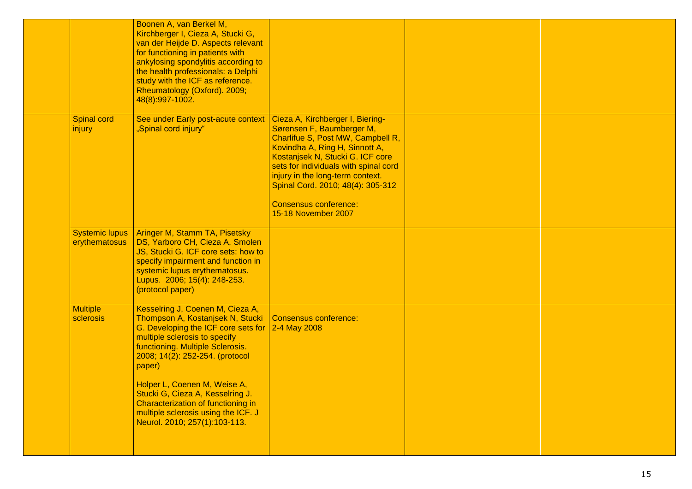|                                        | Boonen A, van Berkel M,<br>Kirchberger I, Cieza A, Stucki G,<br>van der Heijde D. Aspects relevant<br>for functioning in patients with<br>ankylosing spondylitis according to<br>the health professionals: a Delphi<br>study with the ICF as reference.<br>Rheumatology (Oxford). 2009;<br>48(8):997-1002.                                                                                                      |                                                                                                                                                                                                                                                                                                                                                          |  |
|----------------------------------------|-----------------------------------------------------------------------------------------------------------------------------------------------------------------------------------------------------------------------------------------------------------------------------------------------------------------------------------------------------------------------------------------------------------------|----------------------------------------------------------------------------------------------------------------------------------------------------------------------------------------------------------------------------------------------------------------------------------------------------------------------------------------------------------|--|
| <b>Spinal cord</b><br>injury           | See under Early post-acute context<br>"Spinal cord injury"                                                                                                                                                                                                                                                                                                                                                      | Cieza A, Kirchberger I, Biering-<br>Sørensen F, Baumberger M,<br>Charlifue S, Post MW, Campbell R,<br>Kovindha A, Ring H, Sinnott A,<br>Kostanjsek N, Stucki G. ICF core<br>sets for individuals with spinal cord<br>injury in the long-term context.<br>Spinal Cord. 2010; 48(4): 305-312<br><b>Consensus conference:</b><br><b>15-18 November 2007</b> |  |
| <b>Systemic lupus</b><br>erythematosus | Aringer M, Stamm TA, Pisetsky<br>DS, Yarboro CH, Cieza A, Smolen<br>JS, Stucki G. ICF core sets: how to<br>specify impairment and function in<br>systemic lupus erythematosus.<br>Lupus. 2006; 15(4): 248-253.<br>(protocol paper)                                                                                                                                                                              |                                                                                                                                                                                                                                                                                                                                                          |  |
| <b>Multiple</b><br>sclerosis           | Kesselring J, Coenen M, Cieza A,<br>Thompson A, Kostanjsek N, Stucki<br>G. Developing the ICF core sets for<br>multiple sclerosis to specify<br>functioning. Multiple Sclerosis.<br>2008; 14(2): 252-254. (protocol<br>paper)<br>Holper L, Coenen M, Weise A,<br>Stucki G, Cieza A, Kesselring J.<br>Characterization of functioning in<br>multiple sclerosis using the ICF. J<br>Neurol. 2010; 257(1):103-113. | <b>Consensus conference:</b><br>2-4 May 2008                                                                                                                                                                                                                                                                                                             |  |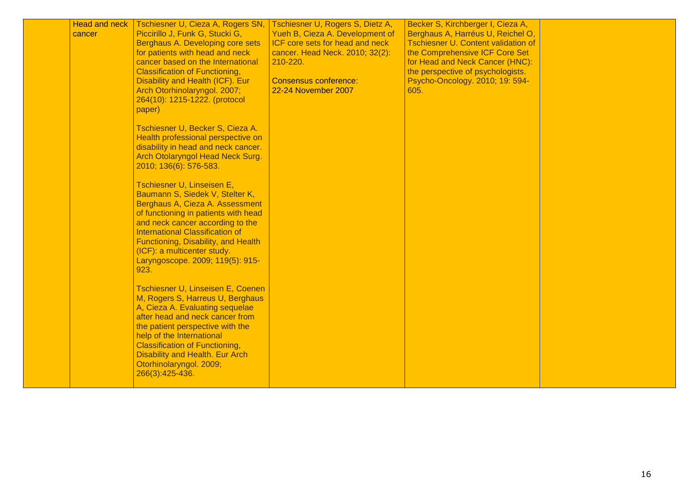| <b>Head and neck</b><br>cancer | Tschiesner U, Cieza A, Rogers SN,<br>Piccirillo J, Funk G, Stucki G,<br>Berghaus A. Developing core sets<br>for patients with head and neck<br>cancer based on the International<br><b>Classification of Functioning,</b><br>Disability and Health (ICF). Eur<br>Arch Otorhinolaryngol. 2007;<br>264(10): 1215-1222. (protocol<br>paper)<br>Tschiesner U, Becker S, Cieza A.<br>Health professional perspective on<br>disability in head and neck cancer.<br>Arch Otolaryngol Head Neck Surg. | Tschiesner U, Rogers S, Dietz A,<br>Yueh B, Cieza A. Development of<br>ICF core sets for head and neck<br>cancer. Head Neck. 2010; 32(2):<br>210-220.<br><b>Consensus conference:</b><br>22-24 November 2007 | Becker S, Kirchberger I, Cieza A,<br>Berghaus A, Harréus U, Reichel O,<br><b>Tschiesner U. Content validation of</b><br>the Comprehensive ICF Core Set<br>for Head and Neck Cancer (HNC):<br>the perspective of psychologists.<br>Psycho-Oncology. 2010; 19: 594-<br>605. |  |
|--------------------------------|-----------------------------------------------------------------------------------------------------------------------------------------------------------------------------------------------------------------------------------------------------------------------------------------------------------------------------------------------------------------------------------------------------------------------------------------------------------------------------------------------|--------------------------------------------------------------------------------------------------------------------------------------------------------------------------------------------------------------|---------------------------------------------------------------------------------------------------------------------------------------------------------------------------------------------------------------------------------------------------------------------------|--|
|                                | 2010; 136(6): 576-583.<br>Tschiesner U, Linseisen E,<br>Baumann S, Siedek V, Stelter K,<br>Berghaus A, Cieza A. Assessment<br>of functioning in patients with head<br>and neck cancer according to the<br><b>International Classification of</b><br>Functioning, Disability, and Health<br>(ICF): a multicenter study.<br>Laryngoscope. 2009; 119(5): 915-<br>923.                                                                                                                            |                                                                                                                                                                                                              |                                                                                                                                                                                                                                                                           |  |
|                                | Tschiesner U, Linseisen E, Coenen<br>M, Rogers S, Harreus U, Berghaus<br>A, Cieza A. Evaluating sequelae<br>after head and neck cancer from<br>the patient perspective with the<br>help of the International<br><b>Classification of Functioning,</b><br><b>Disability and Health. Eur Arch</b><br>Otorhinolaryngol. 2009;<br>266(3):425-436.                                                                                                                                                 |                                                                                                                                                                                                              |                                                                                                                                                                                                                                                                           |  |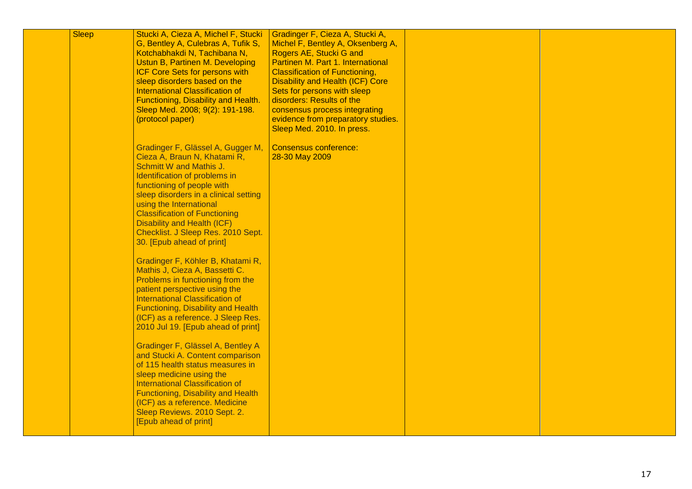| <b>Sleep</b> | Stucki A, Cieza A, Michel F, Stucki<br>G, Bentley A, Culebras A, Tufik S,<br>Kotchabhakdi N, Tachibana N,<br>Ustun B, Partinen M. Developing<br><b>ICF Core Sets for persons with</b><br>sleep disorders based on the<br><b>International Classification of</b><br>Functioning, Disability and Health.<br>Sleep Med. 2008; 9(2): 191-198.<br>(protocol paper)                                                                                                                                                                                                                                                                                                                                                                                                                                                                                                                                                                                                                                                | Gradinger F, Cieza A, Stucki A,<br>Michel F, Bentley A, Oksenberg A,<br>Rogers AE, Stucki G and<br>Partinen M. Part 1. International<br><b>Classification of Functioning,</b><br><b>Disability and Health (ICF) Core</b><br>Sets for persons with sleep<br>disorders: Results of the<br>consensus process integrating<br>evidence from preparatory studies.<br>Sleep Med. 2010. In press. |  |
|--------------|--------------------------------------------------------------------------------------------------------------------------------------------------------------------------------------------------------------------------------------------------------------------------------------------------------------------------------------------------------------------------------------------------------------------------------------------------------------------------------------------------------------------------------------------------------------------------------------------------------------------------------------------------------------------------------------------------------------------------------------------------------------------------------------------------------------------------------------------------------------------------------------------------------------------------------------------------------------------------------------------------------------|-------------------------------------------------------------------------------------------------------------------------------------------------------------------------------------------------------------------------------------------------------------------------------------------------------------------------------------------------------------------------------------------|--|
|              | Gradinger F, Glässel A, Gugger M,<br>Cieza A, Braun N, Khatami R,<br>Schmitt W and Mathis J.<br>Identification of problems in<br>functioning of people with<br>sleep disorders in a clinical setting<br>using the International<br><b>Classification of Functioning</b><br><b>Disability and Health (ICF)</b><br>Checklist. J Sleep Res. 2010 Sept.<br>30. [Epub ahead of print]<br>Gradinger F, Köhler B, Khatami R,<br>Mathis J, Cieza A, Bassetti C.<br>Problems in functioning from the<br>patient perspective using the<br><b>International Classification of</b><br>Functioning, Disability and Health<br>(ICF) as a reference. J Sleep Res.<br>2010 Jul 19. [Epub ahead of print]<br>Gradinger F, Glässel A, Bentley A<br>and Stucki A. Content comparison<br>of 115 health status measures in<br>sleep medicine using the<br><b>International Classification of</b><br>Functioning, Disability and Health<br>(ICF) as a reference. Medicine<br>Sleep Reviews. 2010 Sept. 2.<br>[Epub ahead of print] | <b>Consensus conference:</b><br>28-30 May 2009                                                                                                                                                                                                                                                                                                                                            |  |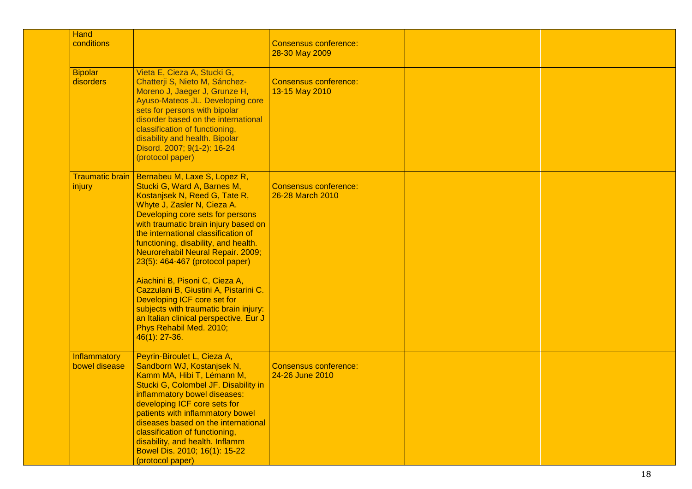| Hand                             |                                                                                                                                                                                                                                                                                                                                                                                                                                                                                                                                                                                                         |                                                  |  |
|----------------------------------|---------------------------------------------------------------------------------------------------------------------------------------------------------------------------------------------------------------------------------------------------------------------------------------------------------------------------------------------------------------------------------------------------------------------------------------------------------------------------------------------------------------------------------------------------------------------------------------------------------|--------------------------------------------------|--|
| conditions                       |                                                                                                                                                                                                                                                                                                                                                                                                                                                                                                                                                                                                         | <b>Consensus conference:</b><br>28-30 May 2009   |  |
| <b>Bipolar</b><br>disorders      | Vieta E, Cieza A, Stucki G,<br>Chatterji S, Nieto M, Sánchez-<br>Moreno J, Jaeger J, Grunze H,<br>Ayuso-Mateos JL. Developing core<br>sets for persons with bipolar<br>disorder based on the international<br>classification of functioning,<br>disability and health. Bipolar<br>Disord. 2007; 9(1-2): 16-24<br>(protocol paper)                                                                                                                                                                                                                                                                       | <b>Consensus conference:</b><br>13-15 May 2010   |  |
| <b>Traumatic brain</b><br>injury | Bernabeu M, Laxe S, Lopez R,<br>Stucki G, Ward A, Barnes M,<br>Kostanjsek N, Reed G, Tate R,<br>Whyte J, Zasler N, Cieza A.<br>Developing core sets for persons<br>with traumatic brain injury based on<br>the international classification of<br>functioning, disability, and health.<br>Neurorehabil Neural Repair. 2009;<br>23(5): 464-467 (protocol paper)<br>Aiachini B, Pisoni C, Cieza A,<br>Cazzulani B, Giustini A, Pistarini C.<br>Developing ICF core set for<br>subjects with traumatic brain injury:<br>an Italian clinical perspective. Eur J<br>Phys Rehabil Med. 2010;<br>46(1): 27-36. | <b>Consensus conference:</b><br>26-28 March 2010 |  |
| Inflammatory<br>bowel disease    | Peyrin-Biroulet L, Cieza A,<br>Sandborn WJ, Kostanjsek N,<br>Kamm MA, Hibi T, Lémann M,<br>Stucki G, Colombel JF. Disability in<br>inflammatory bowel diseases:<br>developing ICF core sets for<br>patients with inflammatory bowel<br>diseases based on the international<br>classification of functioning,<br>disability, and health. Inflamm<br>Bowel Dis. 2010; 16(1): 15-22<br>(protocol paper)                                                                                                                                                                                                    | <b>Consensus conference:</b><br>24-26 June 2010  |  |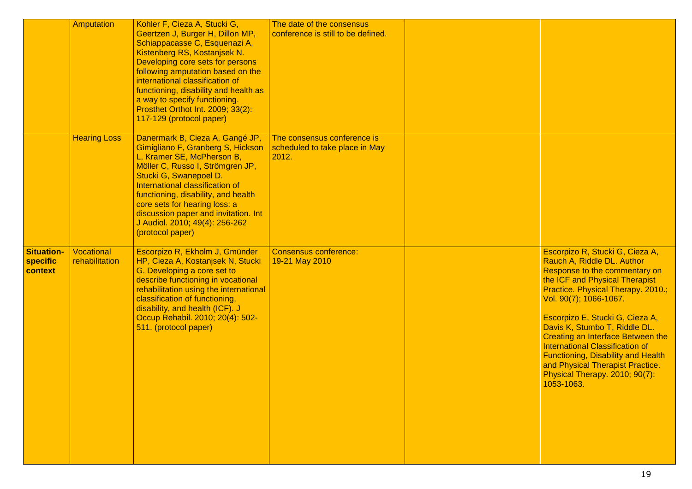|                                          | Amputation                   | Kohler F, Cieza A, Stucki G,<br>Geertzen J, Burger H, Dillon MP,<br>Schiappacasse C, Esquenazi A,<br>Kistenberg RS, Kostanjsek N.<br>Developing core sets for persons<br>following amputation based on the<br>international classification of<br>functioning, disability and health as<br>a way to specify functioning.<br>Prosthet Orthot Int. 2009; 33(2):<br>117-129 (protocol paper) | The date of the consensus<br>conference is still to be defined.        |                                                                                                                                                                                                                                                                                                                                                                                                                                                                                             |
|------------------------------------------|------------------------------|------------------------------------------------------------------------------------------------------------------------------------------------------------------------------------------------------------------------------------------------------------------------------------------------------------------------------------------------------------------------------------------|------------------------------------------------------------------------|---------------------------------------------------------------------------------------------------------------------------------------------------------------------------------------------------------------------------------------------------------------------------------------------------------------------------------------------------------------------------------------------------------------------------------------------------------------------------------------------|
|                                          | <b>Hearing Loss</b>          | Danermark B, Cieza A, Gangé JP,<br>Gimigliano F, Granberg S, Hickson<br>L, Kramer SE, McPherson B,<br>Möller C, Russo I, Strömgren JP,<br>Stucki G, Swanepoel D.<br>International classification of<br>functioning, disability, and health<br>core sets for hearing loss: a<br>discussion paper and invitation. Int<br>J Audiol. 2010; 49(4): 256-262<br>(protocol paper)                | The consensus conference is<br>scheduled to take place in May<br>2012. |                                                                                                                                                                                                                                                                                                                                                                                                                                                                                             |
| <b>Situation-</b><br>specific<br>context | Vocational<br>rehabilitation | Escorpizo R, Ekholm J, Gmünder<br>HP, Cieza A, Kostanjsek N, Stucki<br>G. Developing a core set to<br>describe functioning in vocational<br>rehabilitation using the international<br>classification of functioning,<br>disability, and health (ICF). J<br>Occup Rehabil. 2010; 20(4): 502-<br>511. (protocol paper)                                                                     | <b>Consensus conference:</b><br>19-21 May 2010                         | Escorpizo R, Stucki G, Cieza A,<br>Rauch A, Riddle DL. Author<br>Response to the commentary on<br>the ICF and Physical Therapist<br>Practice. Physical Therapy. 2010.;<br>Vol. 90(7); 1066-1067.<br>Escorpizo E, Stucki G, Cieza A,<br>Davis K, Stumbo T, Riddle DL.<br><b>Creating an Interface Between the</b><br><b>International Classification of</b><br><b>Functioning, Disability and Health</b><br>and Physical Therapist Practice.<br>Physical Therapy. 2010; 90(7):<br>1053-1063. |